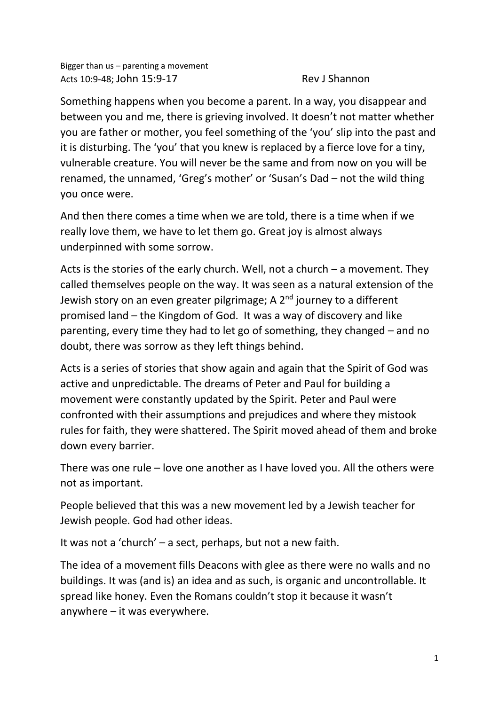Bigger than us – parenting a movement Acts 10:9-48: John 15:9-17 Rev J Shannon

Something happens when you become a parent. In a way, you disappear and between you and me, there is grieving involved. It doesn't not matter whether you are father or mother, you feel something of the 'you' slip into the past and it is disturbing. The 'you' that you knew is replaced by a fierce love for a tiny, vulnerable creature. You will never be the same and from now on you will be renamed, the unnamed, 'Greg's mother' or 'Susan's Dad – not the wild thing you once were.

And then there comes a time when we are told, there is a time when if we really love them, we have to let them go. Great joy is almost always underpinned with some sorrow.

Acts is the stories of the early church. Well, not a church – a movement. They called themselves people on the way. It was seen as a natural extension of the Jewish story on an even greater pilgrimage; A  $2<sup>nd</sup>$  journey to a different promised land – the Kingdom of God. It was a way of discovery and like parenting, every time they had to let go of something, they changed – and no doubt, there was sorrow as they left things behind.

Acts is a series of stories that show again and again that the Spirit of God was active and unpredictable. The dreams of Peter and Paul for building a movement were constantly updated by the Spirit. Peter and Paul were confronted with their assumptions and prejudices and where they mistook rules for faith, they were shattered. The Spirit moved ahead of them and broke down every barrier.

There was one rule – love one another as I have loved you. All the others were not as important.

People believed that this was a new movement led by a Jewish teacher for Jewish people. God had other ideas.

It was not a 'church' – a sect, perhaps, but not a new faith.

The idea of a movement fills Deacons with glee as there were no walls and no buildings. It was (and is) an idea and as such, is organic and uncontrollable. It spread like honey. Even the Romans couldn't stop it because it wasn't anywhere – it was everywhere.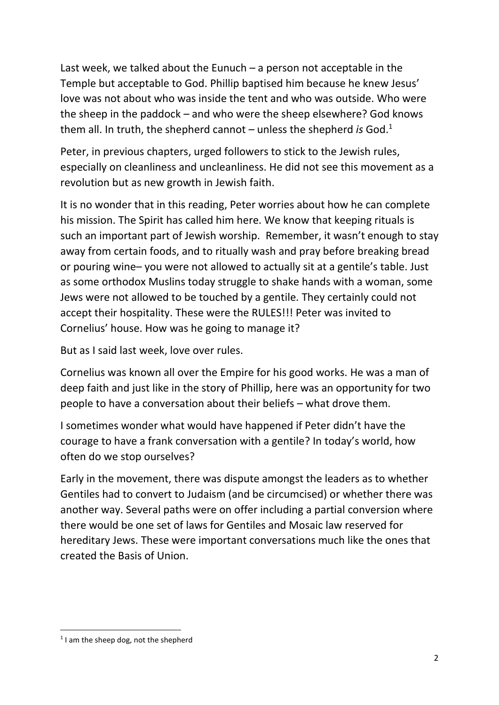Last week, we talked about the Eunuch  $-$  a person not acceptable in the Temple but acceptable to God. Phillip baptised him because he knew Jesus' love was not about who was inside the tent and who was outside. Who were the sheep in the paddock – and who were the sheep elsewhere? God knows them all. In truth, the shepherd cannot – unless the shepherd *is* God.<sup>1</sup>

Peter, in previous chapters, urged followers to stick to the Jewish rules, especially on cleanliness and uncleanliness. He did not see this movement as a revolution but as new growth in Jewish faith.

It is no wonder that in this reading, Peter worries about how he can complete his mission. The Spirit has called him here. We know that keeping rituals is such an important part of Jewish worship. Remember, it wasn't enough to stay away from certain foods, and to ritually wash and pray before breaking bread or pouring wine– you were not allowed to actually sit at a gentile's table. Just as some orthodox Muslins today struggle to shake hands with a woman, some Jews were not allowed to be touched by a gentile. They certainly could not accept their hospitality. These were the RULES!!! Peter was invited to Cornelius' house. How was he going to manage it?

But as I said last week, love over rules.

Cornelius was known all over the Empire for his good works. He was a man of deep faith and just like in the story of Phillip, here was an opportunity for two people to have a conversation about their beliefs – what drove them.

I sometimes wonder what would have happened if Peter didn't have the courage to have a frank conversation with a gentile? In today's world, how often do we stop ourselves?

Early in the movement, there was dispute amongst the leaders as to whether Gentiles had to convert to Judaism (and be circumcised) or whether there was another way. Several paths were on offer including a partial conversion where there would be one set of laws for Gentiles and Mosaic law reserved for hereditary Jews. These were important conversations much like the ones that created the Basis of Union.

<sup>&</sup>lt;sup>1</sup> I am the sheep dog, not the shepherd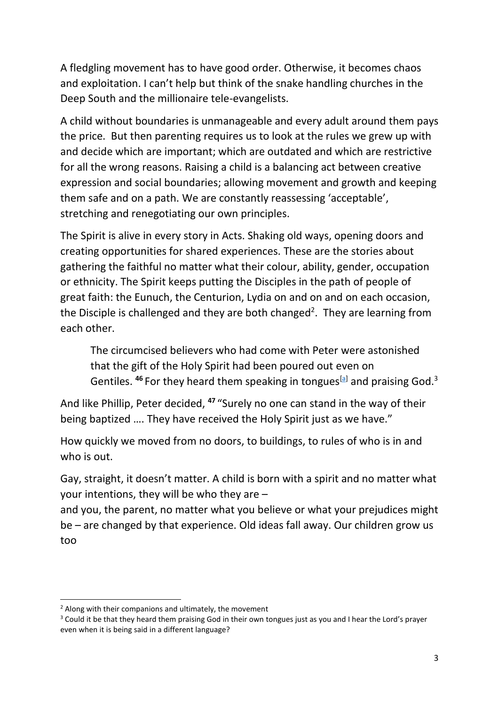A fledgling movement has to have good order. Otherwise, it becomes chaos and exploitation. I can't help but think of the snake handling churches in the Deep South and the millionaire tele-evangelists.

A child without boundaries is unmanageable and every adult around them pays the price. But then parenting requires us to look at the rules we grew up with and decide which are important; which are outdated and which are restrictive for all the wrong reasons. Raising a child is a balancing act between creative expression and social boundaries; allowing movement and growth and keeping them safe and on a path. We are constantly reassessing 'acceptable', stretching and renegotiating our own principles.

The Spirit is alive in every story in Acts. Shaking old ways, opening doors and creating opportunities for shared experiences. These are the stories about gathering the faithful no matter what their colour, ability, gender, occupation or ethnicity. The Spirit keeps putting the Disciples in the path of people of great faith: the Eunuch, the Centurion, Lydia on and on and on each occasion, the Disciple is challenged and they are both changed<sup>2</sup>. They are learning from each other.

The circumcised believers who had come with Peter were astonished that the gift of the Holy Spirit had been poured out even on Gentiles. <sup>46</sup> For they heard them speaking in tongues<sup>[\[a\]](https://www.biblegateway.com/passage/?search=Acts+10%3A44-48&version=NIV#fen-NIV-27306a)</sup> and praising God.<sup>3</sup>

And like Phillip, Peter decided, **<sup>47</sup>** "Surely no one can stand in the way of their being baptized …. They have received the Holy Spirit just as we have."

How quickly we moved from no doors, to buildings, to rules of who is in and who is out.

Gay, straight, it doesn't matter. A child is born with a spirit and no matter what your intentions, they will be who they are –

and you, the parent, no matter what you believe or what your prejudices might be – are changed by that experience. Old ideas fall away. Our children grow us too

<sup>&</sup>lt;sup>2</sup> Along with their companions and ultimately, the movement

<sup>&</sup>lt;sup>3</sup> Could it be that they heard them praising God in their own tongues just as you and I hear the Lord's prayer even when it is being said in a different language?